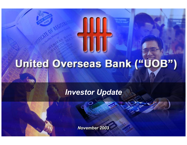# United Overseas Bank ("UOB")

## Investor Update

November 2003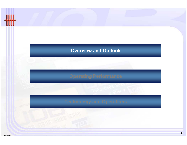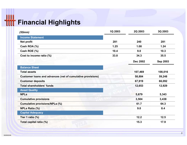# **Hill** Financial Highlights

| (S\$mm)                                                    | 1Q 2003 | 2Q 2003         | 3Q 2003         |
|------------------------------------------------------------|---------|-----------------|-----------------|
| <b>Income Statement</b>                                    |         |                 |                 |
| <b>Net profit</b>                                          | 281     | 240             | 281             |
| Cash ROA (%)                                               | 1.25    | 1.08            | 1.24            |
| Cash ROE (%)                                               | 10.4    | 9.0             | 10.3            |
| Cost to income ratio (%)                                   | 33.8    | 34.3            | 35.5            |
|                                                            |         | <b>Dec 2002</b> | <b>Sep 2003</b> |
| <b>Balance Sheet</b>                                       |         |                 |                 |
| <b>Total assets</b>                                        |         | 107,469         | 108,016         |
| Customer loans and advances (net of cumulative provisions) |         | 58,884          | 59,248          |
| <b>Customer deposits</b>                                   |         | 67,919          | 66,092          |
| <b>Total shareholders' funds</b>                           |         | 12,653          | 12,929          |
| <b>Asset Quality</b>                                       |         |                 |                 |
| <b>NPLs</b>                                                |         | 5,679           | 5,343           |
| <b>Cumulative provisions</b>                               |         | 3,504           | 3,438           |
| <b>Cumulative provisions/NPLs (%)</b>                      |         | 61.7            | 64.3            |
| <b>NPLs Ratio (%)</b>                                      |         | 9.0             | 8.4             |
| <b>Capital Adequacy</b>                                    |         |                 |                 |
| Tier 1 ratio (%)                                           |         | 12.2            | 12.5            |
| Total capital ratio (%)                                    |         | 15.3            | 17.9            |

3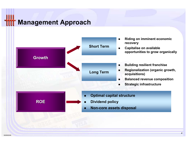## Management Approach

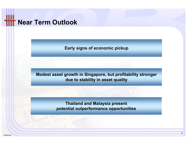## Near Term Outlook

Early signs of economic pickup

Modest asset growth in Singapore, but profitability stronger due to stability in asset quality

> Thailand and Malaysia present potential outperformance opportunities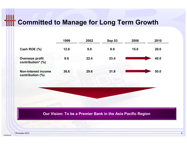## **Hilf** Committed to Manage for Long Term Growth

|                                                | 1999 | 2002 | <b>Sep 03</b>                                               | 2006 | 2010 |  |
|------------------------------------------------|------|------|-------------------------------------------------------------|------|------|--|
| Cash ROE (%)                                   | 12.6 | 9.8  | 9.9                                                         | 15.0 | 20.0 |  |
| <b>Overseas profit</b><br>contribution* (%)    | 8.6  | 22.4 | 23.4                                                        |      | 40.0 |  |
| <b>Non-interest income</b><br>contribution (%) | 36.6 | 29.6 | 31.8                                                        |      | 50.0 |  |
|                                                |      |      |                                                             |      |      |  |
|                                                |      |      |                                                             |      |      |  |
|                                                |      |      | Our Vision: To be a Premier Bank in the Asia Pacific Region |      |      |  |
|                                                |      |      |                                                             |      |      |  |
|                                                |      |      |                                                             |      |      |  |

SG000GXK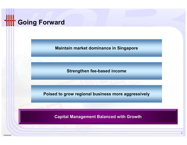

Maintain market dominance in Singapore

Strengthen fee-based income

Poised to grow regional business more aggressively

Capital Management Balanced with Growth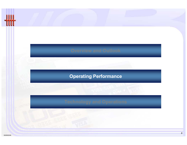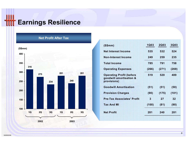## **IIIT Earnings Resilience**



#### Net Profit After Tax

| (S\$mm)                                                                   | <b>1Q03</b> | <b>2Q03</b> | 3Q03  |
|---------------------------------------------------------------------------|-------------|-------------|-------|
| <b>Net Interest Income</b>                                                | 535         | 532         | 524   |
| Non-Interest Income                                                       | 249         | 259         | 235   |
| <b>Total Income</b>                                                       | 785         | 791         | 758   |
| <b>Operating Expenses</b>                                                 | (266)       | (271)       | (269) |
| <b>Operating Profit (before</b><br>goodwill amortisation &<br>provisions) | 519         | 520         | 489   |
| <b>Goodwill Amortisation</b>                                              | (51)        | (51)        | (50)  |
| <b>Provision Charges</b>                                                  | (90)        | (175)       | (101) |
| <b>Pre-Tax Associates' Profit</b>                                         | 3           | 27          | 32    |
| <b>Tax And MI</b>                                                         | (100)       | (81)        | (90)  |
| <b>Net Profit</b>                                                         | 281         | 240         | 281   |
|                                                                           |             |             |       |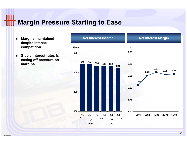### Margin Pressure Starting to Ease

- $\blacksquare$  Margins maintained despite intense competition
- $\blacksquare$  Stable interest rates is easing off pressure on margins

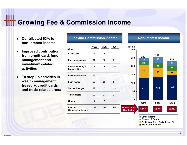### **THT Growing Fee & Commission Income**

- Contributed 63% to non-interest income
- $\blacksquare$  Improved contribution from credit card, fund management and investment-related activities
- $\blacksquare$  To step up activities in wealth management, treasury, credit cards and trade-related areas

| (S\$mm)                                             | 1Q03 | 2Q03            | 3Q03 |
|-----------------------------------------------------|------|-----------------|------|
| <b>Credit Card</b>                                  | 20   | 20              | 24   |
| <b>Fund Management</b>                              | 16   | 16              | 21   |
| <b>Futures Broking &amp;</b><br><b>Stockbroking</b> | 8    | 9               | 10   |
| Investment-related                                  | 17   | 12              | 23   |
| Loan-related                                        | 27   | 35              | 21   |
| <b>Service Charges</b>                              | 12   | 12 <sup>2</sup> | 13   |
| <b>Trade-related</b>                                | 27   | 27              | 27   |
| <b>Others</b>                                       | 4    | $\overline{7}$  | 10   |
| Fee and<br><b>Commission Income</b>                 | 131  | 138             | 148  |

Fee and Commission Income

#### Non-Interest Income



■ Other Income Dividend & Rental Profit from Sec / Derivatives / FX**Fee & Commission** 

11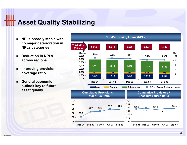## **IIT Asset Quality Stabilizing**

- $\blacksquare$  NPLs broadly stable with no major deterioration in NPLs categories
- $\blacksquare$  Reduction in NPLsacross regions
- п Improving provision coverage ratio
- п General economic outlook key to future asset quality

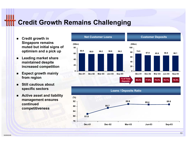### Credit Growth Remains Challenging

- $\blacksquare$  Credit growth in Singapore remains muted but initial signs of optimism and a pick up
- $\blacksquare$  Leading market share maintained despite increased competition
- $\blacksquare$  Expect growth mainly from region
- Still cautious about specific sectors
- $\blacksquare$  Active asset and liability management ensures continued competitiveness



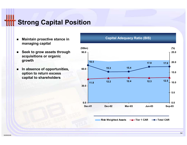## **Strong Capital Position**

- $\blacksquare$  Maintain proactive stance in managing capital
- $\blacksquare$  Seek to grow assets through acquisitions or organic growth
- п In absence of opportunities, option to return excess capital to shareholders

#### Capital Adequacy Ratio (BIS)



Risk Weighted Assets Tier 1 CAR Total CAR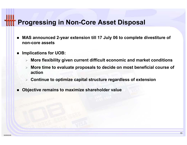### **Progressing in Non-Core Asset Disposal**

- MAS announced 2-year extension till 17 July 06 to complete divestiture of non-core assets
- ▉ Implications for UOB:
	- $\triangleright$  More flexibility given current difficult economic and market conditions
	- $\rightarrow$  More time to evaluate proposals to decide on most beneficial course of action
	- $\triangleright$  Continue to optimize capital structure regardless of extension
- Objective remains to maximize shareholder value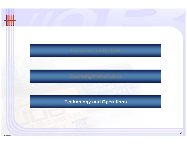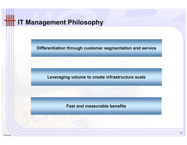## **ITT IT Management Philosophy**

Differentiation through customer segmentation and service

Leveraging volume to create infrastructure scale

Fast and measurable benefits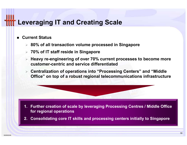### Leveraging IT and Creating Scale

- Current Status
	- $\triangleright$   $\,$  80% of all transaction volume processed in Singapore
	- $\triangleright$   $~$  70% of IT staff reside in Singapore
	- > Heavy re-engineering of over 70% current processes to become more customer-centric and service differentiated
	- Centralization of operations into "Processing Centers" and "Middle Office" on top of a robust regional telecommunications infrastructure

- 1. Further creation of scale by leveraging Processing Centres / Middle Office for regional operations
- 2. Consolidating core IT skills and processing centers initially to Singapore